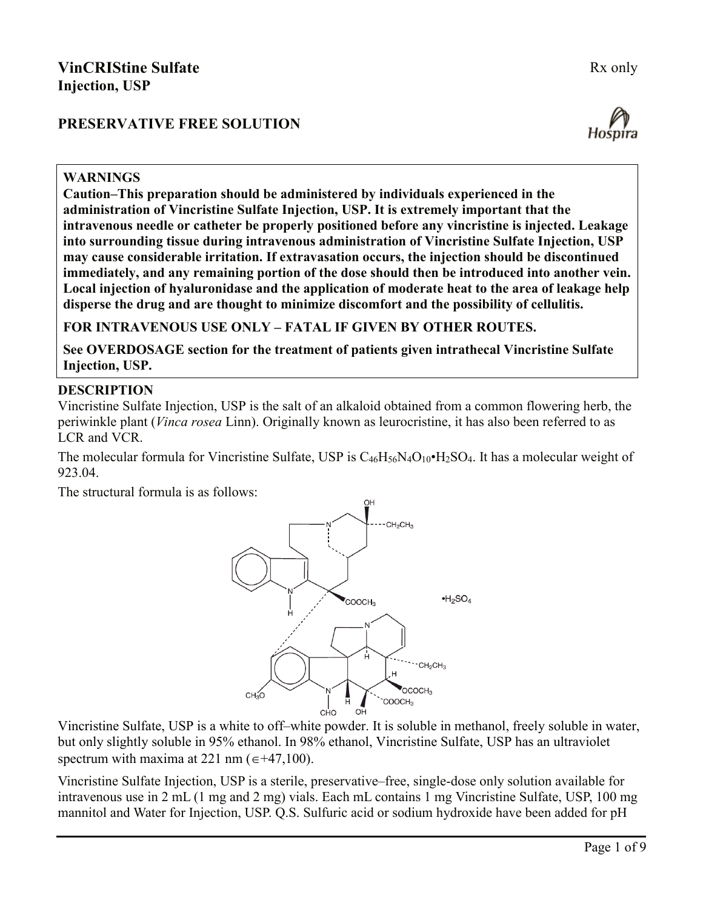# **PRESERVATIVE FREE SOLUTION**





#### **WARNINGS**

**Caution–This preparation should be administered by individuals experienced in the administration of Vincristine Sulfate Injection, USP. It is extremely important that the intravenous needle or catheter be properly positioned before any vincristine is injected. Leakage into surrounding tissue during intravenous administration of Vincristine Sulfate Injection, USP may cause considerable irritation. If extravasation occurs, the injection should be discontinued immediately, and any remaining portion of the dose should then be introduced into another vein. Local injection of hyaluronidase and the application of moderate heat to the area of leakage help disperse the drug and are thought to minimize discomfort and the possibility of cellulitis.**

**FOR INTRAVENOUS USE ONLY – FATAL IF GIVEN BY OTHER ROUTES.**

**See OVERDOSAGE section for the treatment of patients given intrathecal Vincristine Sulfate Injection, USP.**

#### **DESCRIPTION**

Vincristine Sulfate Injection, USP is the salt of an alkaloid obtained from a common flowering herb, the periwinkle plant (*Vinca rosea* Linn). Originally known as leurocristine, it has also been referred to as LCR and VCR.

The molecular formula for Vincristine Sulfate, USP is  $C_{46}H_{56}N_4O_{10}H_2SO_4$ . It has a molecular weight of 923.04.

The structural formula is as follows:



Vincristine Sulfate, USP is a white to off–white powder. It is soluble in methanol, freely soluble in water, but only slightly soluble in 95% ethanol. In 98% ethanol, Vincristine Sulfate, USP has an ultraviolet spectrum with maxima at 221 nm ( $\epsilon$ +47,100).

Vincristine Sulfate Injection, USP is a sterile, preservative–free, single-dose only solution available for intravenous use in 2 mL (1 mg and 2 mg) vials. Each mL contains 1 mg Vincristine Sulfate, USP, 100 mg mannitol and Water for Injection, USP. Q.S. Sulfuric acid or sodium hydroxide have been added for pH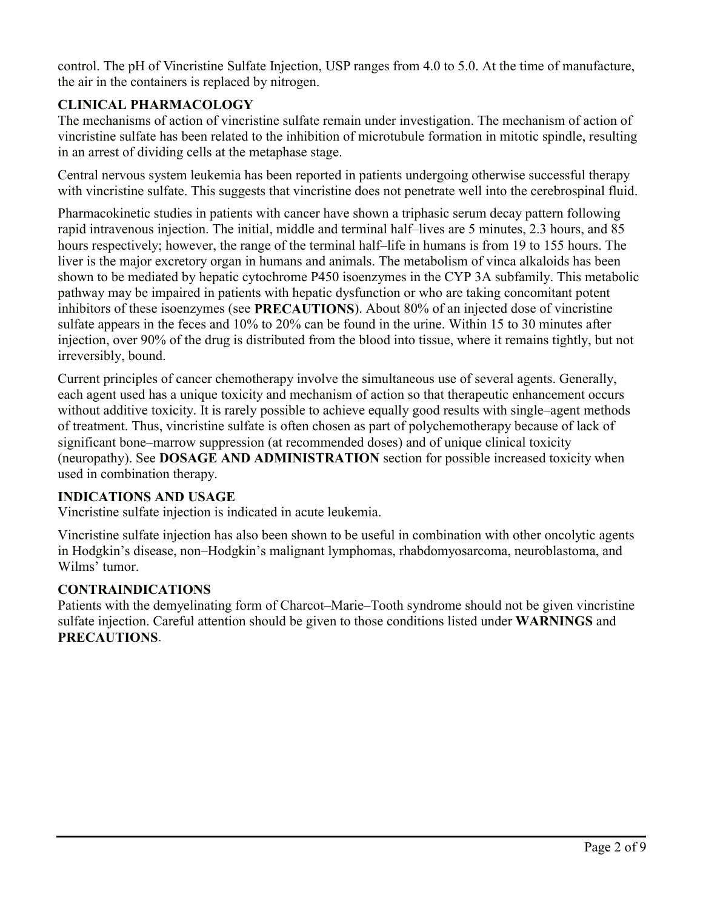control. The pH of Vincristine Sulfate Injection, USP ranges from 4.0 to 5.0. At the time of manufacture, the air in the containers is replaced by nitrogen.

# **CLINICAL PHARMACOLOGY**

The mechanisms of action of vincristine sulfate remain under investigation. The mechanism of action of vincristine sulfate has been related to the inhibition of microtubule formation in mitotic spindle, resulting in an arrest of dividing cells at the metaphase stage.

Central nervous system leukemia has been reported in patients undergoing otherwise successful therapy with vincristine sulfate. This suggests that vincristine does not penetrate well into the cerebrospinal fluid.

Pharmacokinetic studies in patients with cancer have shown a triphasic serum decay pattern following rapid intravenous injection. The initial, middle and terminal half–lives are 5 minutes, 2.3 hours, and 85 hours respectively; however, the range of the terminal half–life in humans is from 19 to 155 hours. The liver is the major excretory organ in humans and animals. The metabolism of vinca alkaloids has been shown to be mediated by hepatic cytochrome P450 isoenzymes in the CYP 3A subfamily. This metabolic pathway may be impaired in patients with hepatic dysfunction or who are taking concomitant potent inhibitors of these isoenzymes (see **PRECAUTIONS**). About 80% of an injected dose of vincristine sulfate appears in the feces and 10% to 20% can be found in the urine. Within 15 to 30 minutes after injection, over 90% of the drug is distributed from the blood into tissue, where it remains tightly, but not irreversibly, bound.

Current principles of cancer chemotherapy involve the simultaneous use of several agents. Generally, each agent used has a unique toxicity and mechanism of action so that therapeutic enhancement occurs without additive toxicity. It is rarely possible to achieve equally good results with single–agent methods of treatment. Thus, vincristine sulfate is often chosen as part of polychemotherapy because of lack of significant bone–marrow suppression (at recommended doses) and of unique clinical toxicity (neuropathy). See **DOSAGE AND ADMINISTRATION** section for possible increased toxicity when used in combination therapy.

### **INDICATIONS AND USAGE**

Vincristine sulfate injection is indicated in acute leukemia.

Vincristine sulfate injection has also been shown to be useful in combination with other oncolytic agents in Hodgkin's disease, non–Hodgkin's malignant lymphomas, rhabdomyosarcoma, neuroblastoma, and Wilms' tumor.

# **CONTRAINDICATIONS**

Patients with the demyelinating form of Charcot–Marie–Tooth syndrome should not be given vincristine sulfate injection. Careful attention should be given to those conditions listed under **WARNINGS** and **PRECAUTIONS**.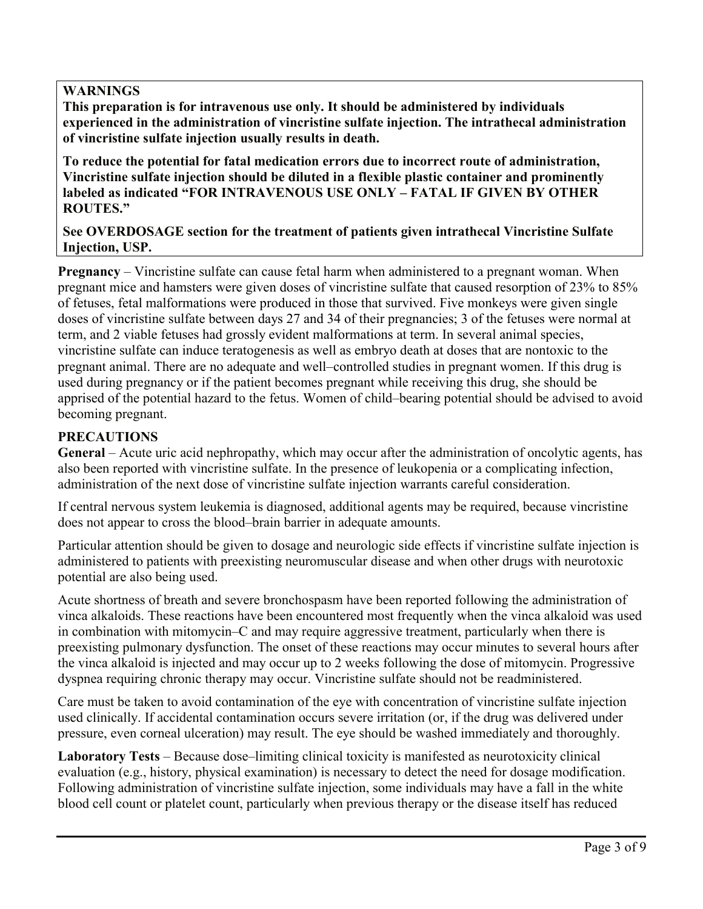### **WARNINGS**

**This preparation is for intravenous use only. It should be administered by individuals experienced in the administration of vincristine sulfate injection. The intrathecal administration of vincristine sulfate injection usually results in death.** 

**To reduce the potential for fatal medication errors due to incorrect route of administration, Vincristine sulfate injection should be diluted in a flexible plastic container and prominently labeled as indicated "FOR INTRAVENOUS USE ONLY – FATAL IF GIVEN BY OTHER ROUTES."**

**See OVERDOSAGE section for the treatment of patients given intrathecal Vincristine Sulfate Injection, USP.**

**Pregnancy** – Vincristine sulfate can cause fetal harm when administered to a pregnant woman. When pregnant mice and hamsters were given doses of vincristine sulfate that caused resorption of 23% to 85% of fetuses, fetal malformations were produced in those that survived. Five monkeys were given single doses of vincristine sulfate between days 27 and 34 of their pregnancies; 3 of the fetuses were normal at term, and 2 viable fetuses had grossly evident malformations at term. In several animal species, vincristine sulfate can induce teratogenesis as well as embryo death at doses that are nontoxic to the pregnant animal. There are no adequate and well–controlled studies in pregnant women. If this drug is used during pregnancy or if the patient becomes pregnant while receiving this drug, she should be apprised of the potential hazard to the fetus. Women of child–bearing potential should be advised to avoid becoming pregnant.

## **PRECAUTIONS**

**General** – Acute uric acid nephropathy, which may occur after the administration of oncolytic agents, has also been reported with vincristine sulfate. In the presence of leukopenia or a complicating infection, administration of the next dose of vincristine sulfate injection warrants careful consideration.

If central nervous system leukemia is diagnosed, additional agents may be required, because vincristine does not appear to cross the blood–brain barrier in adequate amounts.

Particular attention should be given to dosage and neurologic side effects if vincristine sulfate injection is administered to patients with preexisting neuromuscular disease and when other drugs with neurotoxic potential are also being used.

Acute shortness of breath and severe bronchospasm have been reported following the administration of vinca alkaloids. These reactions have been encountered most frequently when the vinca alkaloid was used in combination with mitomycin–C and may require aggressive treatment, particularly when there is preexisting pulmonary dysfunction. The onset of these reactions may occur minutes to several hours after the vinca alkaloid is injected and may occur up to 2 weeks following the dose of mitomycin. Progressive dyspnea requiring chronic therapy may occur. Vincristine sulfate should not be readministered.

Care must be taken to avoid contamination of the eye with concentration of vincristine sulfate injection used clinically. If accidental contamination occurs severe irritation (or, if the drug was delivered under pressure, even corneal ulceration) may result. The eye should be washed immediately and thoroughly.

**Laboratory Tests** – Because dose–limiting clinical toxicity is manifested as neurotoxicity clinical evaluation (e.g., history, physical examination) is necessary to detect the need for dosage modification. Following administration of vincristine sulfate injection, some individuals may have a fall in the white blood cell count or platelet count, particularly when previous therapy or the disease itself has reduced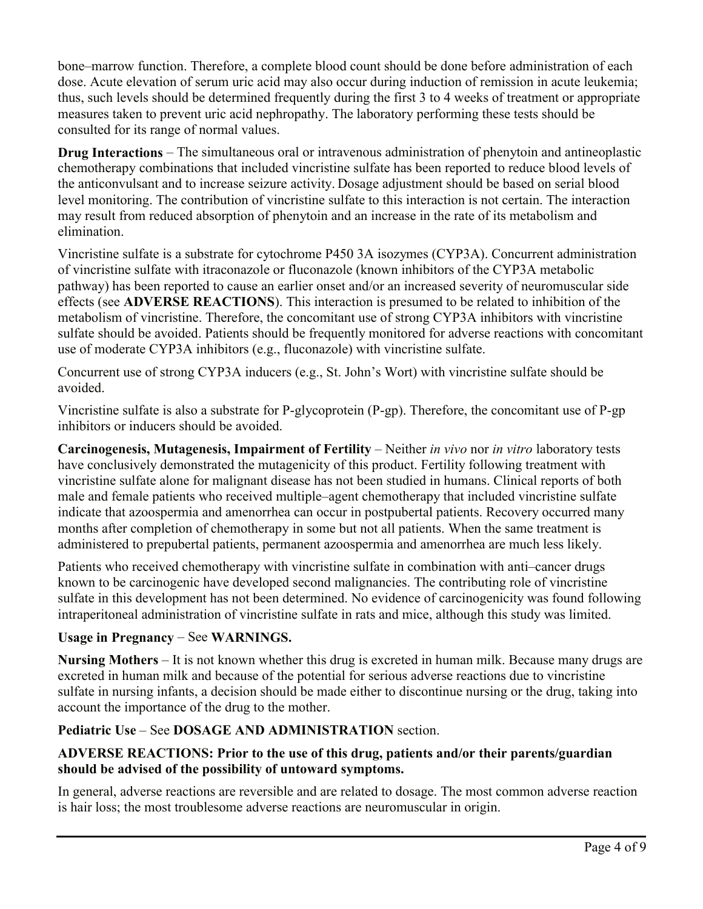bone–marrow function. Therefore, a complete blood count should be done before administration of each dose. Acute elevation of serum uric acid may also occur during induction of remission in acute leukemia; thus, such levels should be determined frequently during the first 3 to 4 weeks of treatment or appropriate measures taken to prevent uric acid nephropathy. The laboratory performing these tests should be consulted for its range of normal values.

**Drug Interactions** – The simultaneous oral or intravenous administration of phenytoin and antineoplastic chemotherapy combinations that included vincristine sulfate has been reported to reduce blood levels of the anticonvulsant and to increase seizure activity. Dosage adjustment should be based on serial blood level monitoring. The contribution of vincristine sulfate to this interaction is not certain. The interaction may result from reduced absorption of phenytoin and an increase in the rate of its metabolism and elimination.

Vincristine sulfate is a substrate for cytochrome P450 3A isozymes (CYP3A). Concurrent administration of vincristine sulfate with itraconazole or fluconazole (known inhibitors of the CYP3A metabolic pathway) has been reported to cause an earlier onset and/or an increased severity of neuromuscular side effects (see **ADVERSE REACTIONS**). This interaction is presumed to be related to inhibition of the metabolism of vincristine. Therefore, the concomitant use of strong CYP3A inhibitors with vincristine sulfate should be avoided. Patients should be frequently monitored for adverse reactions with concomitant use of moderate CYP3A inhibitors (e.g., fluconazole) with vincristine sulfate.

Concurrent use of strong CYP3A inducers (e.g., St. John's Wort) with vincristine sulfate should be avoided.

Vincristine sulfate is also a substrate for P-glycoprotein (P-gp). Therefore, the concomitant use of P-gp inhibitors or inducers should be avoided.

**Carcinogenesis, Mutagenesis, Impairment of Fertility – Neither** *in vivo* **nor** *in vitro* **laboratory tests** have conclusively demonstrated the mutagenicity of this product. Fertility following treatment with vincristine sulfate alone for malignant disease has not been studied in humans. Clinical reports of both male and female patients who received multiple–agent chemotherapy that included vincristine sulfate indicate that azoospermia and amenorrhea can occur in postpubertal patients. Recovery occurred many months after completion of chemotherapy in some but not all patients. When the same treatment is administered to prepubertal patients, permanent azoospermia and amenorrhea are much less likely.

Patients who received chemotherapy with vincristine sulfate in combination with anti–cancer drugs known to be carcinogenic have developed second malignancies. The contributing role of vincristine sulfate in this development has not been determined. No evidence of carcinogenicity was found following intraperitoneal administration of vincristine sulfate in rats and mice, although this study was limited.

# **Usage in Pregnancy** – See **WARNINGS.**

**Nursing Mothers** – It is not known whether this drug is excreted in human milk. Because many drugs are excreted in human milk and because of the potential for serious adverse reactions due to vincristine sulfate in nursing infants, a decision should be made either to discontinue nursing or the drug, taking into account the importance of the drug to the mother.

### **Pediatric Use** – See **DOSAGE AND ADMINISTRATION** section.

### **ADVERSE REACTIONS: Prior to the use of this drug, patients and/or their parents/guardian should be advised of the possibility of untoward symptoms.**

In general, adverse reactions are reversible and are related to dosage. The most common adverse reaction is hair loss; the most troublesome adverse reactions are neuromuscular in origin.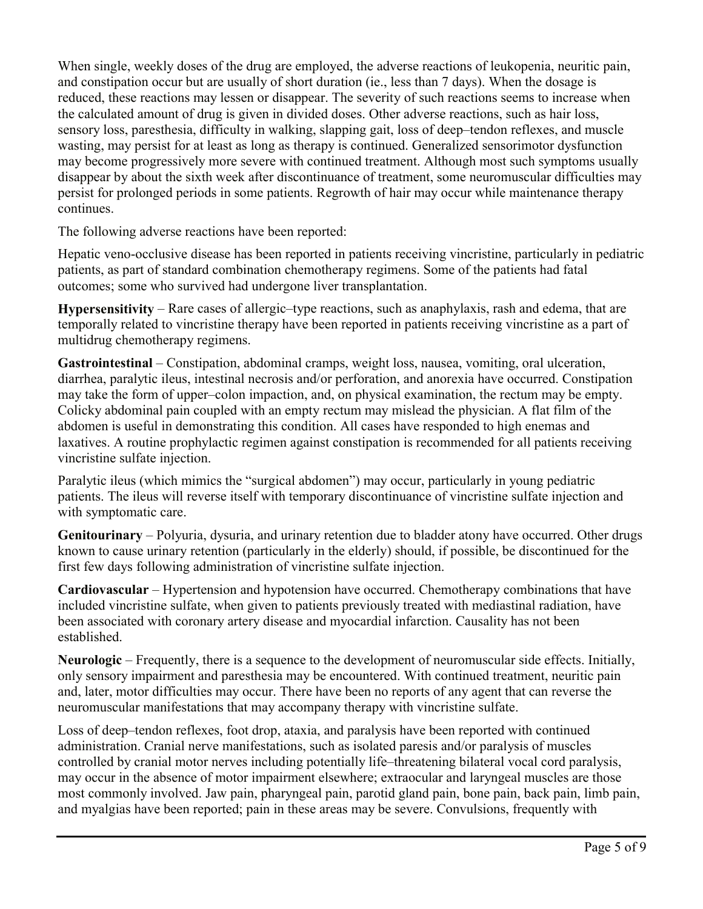When single, weekly doses of the drug are employed, the adverse reactions of leukopenia, neuritic pain, and constipation occur but are usually of short duration (ie., less than 7 days). When the dosage is reduced, these reactions may lessen or disappear. The severity of such reactions seems to increase when the calculated amount of drug is given in divided doses. Other adverse reactions, such as hair loss, sensory loss, paresthesia, difficulty in walking, slapping gait, loss of deep–tendon reflexes, and muscle wasting, may persist for at least as long as therapy is continued. Generalized sensorimotor dysfunction may become progressively more severe with continued treatment. Although most such symptoms usually disappear by about the sixth week after discontinuance of treatment, some neuromuscular difficulties may persist for prolonged periods in some patients. Regrowth of hair may occur while maintenance therapy continues.

The following adverse reactions have been reported:

Hepatic veno-occlusive disease has been reported in patients receiving vincristine, particularly in pediatric patients, as part of standard combination chemotherapy regimens. Some of the patients had fatal outcomes; some who survived had undergone liver transplantation.

**Hypersensitivity** – Rare cases of allergic–type reactions, such as anaphylaxis, rash and edema, that are temporally related to vincristine therapy have been reported in patients receiving vincristine as a part of multidrug chemotherapy regimens.

**Gastrointestinal** – Constipation, abdominal cramps, weight loss, nausea, vomiting, oral ulceration, diarrhea, paralytic ileus, intestinal necrosis and/or perforation, and anorexia have occurred. Constipation may take the form of upper–colon impaction, and, on physical examination, the rectum may be empty. Colicky abdominal pain coupled with an empty rectum may mislead the physician. A flat film of the abdomen is useful in demonstrating this condition. All cases have responded to high enemas and laxatives. A routine prophylactic regimen against constipation is recommended for all patients receiving vincristine sulfate injection.

Paralytic ileus (which mimics the "surgical abdomen") may occur, particularly in young pediatric patients. The ileus will reverse itself with temporary discontinuance of vincristine sulfate injection and with symptomatic care.

**Genitourinary** – Polyuria, dysuria, and urinary retention due to bladder atony have occurred. Other drugs known to cause urinary retention (particularly in the elderly) should, if possible, be discontinued for the first few days following administration of vincristine sulfate injection.

**Cardiovascular** – Hypertension and hypotension have occurred. Chemotherapy combinations that have included vincristine sulfate, when given to patients previously treated with mediastinal radiation, have been associated with coronary artery disease and myocardial infarction. Causality has not been established.

**Neurologic** – Frequently, there is a sequence to the development of neuromuscular side effects. Initially, only sensory impairment and paresthesia may be encountered. With continued treatment, neuritic pain and, later, motor difficulties may occur. There have been no reports of any agent that can reverse the neuromuscular manifestations that may accompany therapy with vincristine sulfate.

Loss of deep–tendon reflexes, foot drop, ataxia, and paralysis have been reported with continued administration. Cranial nerve manifestations, such as isolated paresis and/or paralysis of muscles controlled by cranial motor nerves including potentially life–threatening bilateral vocal cord paralysis, may occur in the absence of motor impairment elsewhere; extraocular and laryngeal muscles are those most commonly involved. Jaw pain, pharyngeal pain, parotid gland pain, bone pain, back pain, limb pain, and myalgias have been reported; pain in these areas may be severe. Convulsions, frequently with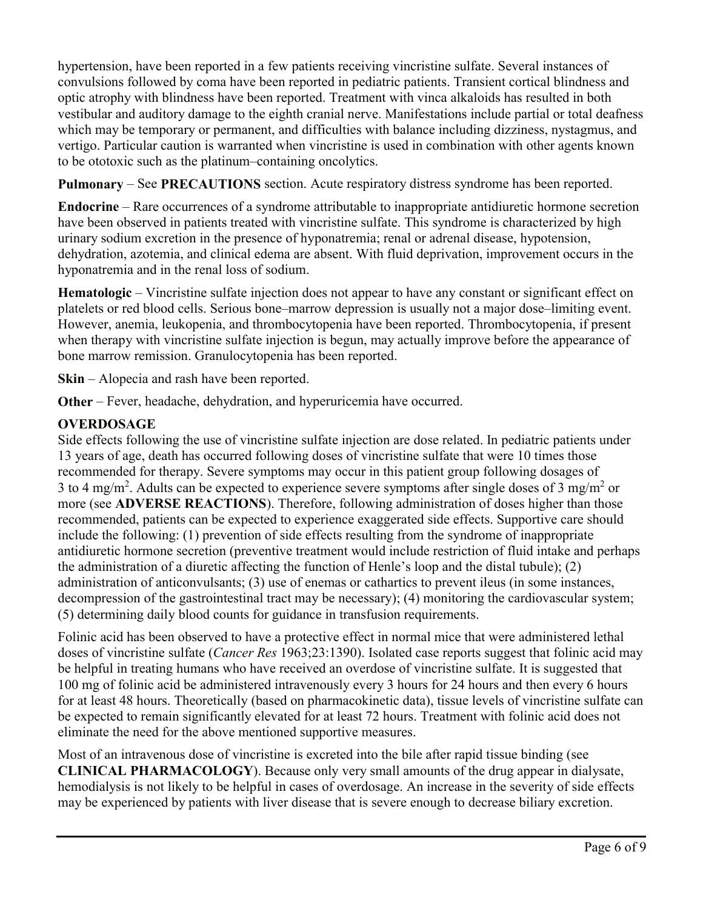hypertension, have been reported in a few patients receiving vincristine sulfate. Several instances of convulsions followed by coma have been reported in pediatric patients. Transient cortical blindness and optic atrophy with blindness have been reported. Treatment with vinca alkaloids has resulted in both vestibular and auditory damage to the eighth cranial nerve. Manifestations include partial or total deafness which may be temporary or permanent, and difficulties with balance including dizziness, nystagmus, and vertigo. Particular caution is warranted when vincristine is used in combination with other agents known to be ototoxic such as the platinum–containing oncolytics.

**Pulmonary** – See **PRECAUTIONS** section. Acute respiratory distress syndrome has been reported.

**Endocrine** – Rare occurrences of a syndrome attributable to inappropriate antidiuretic hormone secretion have been observed in patients treated with vincristine sulfate. This syndrome is characterized by high urinary sodium excretion in the presence of hyponatremia; renal or adrenal disease, hypotension, dehydration, azotemia, and clinical edema are absent. With fluid deprivation, improvement occurs in the hyponatremia and in the renal loss of sodium.

**Hematologic** – Vincristine sulfate injection does not appear to have any constant or significant effect on platelets or red blood cells. Serious bone–marrow depression is usually not a major dose–limiting event. However, anemia, leukopenia, and thrombocytopenia have been reported. Thrombocytopenia, if present when therapy with vincristine sulfate injection is begun, may actually improve before the appearance of bone marrow remission. Granulocytopenia has been reported.

**Skin** – Alopecia and rash have been reported.

**Other** – Fever, headache, dehydration, and hyperuricemia have occurred.

# **OVERDOSAGE**

Side effects following the use of vincristine sulfate injection are dose related. In pediatric patients under 13 years of age, death has occurred following doses of vincristine sulfate that were 10 times those recommended for therapy. Severe symptoms may occur in this patient group following dosages of 3 to 4 mg/m<sup>2</sup>. Adults can be expected to experience severe symptoms after single doses of 3 mg/m<sup>2</sup> or more (see **ADVERSE REACTIONS**). Therefore, following administration of doses higher than those recommended, patients can be expected to experience exaggerated side effects. Supportive care should include the following: (1) prevention of side effects resulting from the syndrome of inappropriate antidiuretic hormone secretion (preventive treatment would include restriction of fluid intake and perhaps the administration of a diuretic affecting the function of Henle's loop and the distal tubule); (2) administration of anticonvulsants; (3) use of enemas or cathartics to prevent ileus (in some instances, decompression of the gastrointestinal tract may be necessary); (4) monitoring the cardiovascular system; (5) determining daily blood counts for guidance in transfusion requirements.

Folinic acid has been observed to have a protective effect in normal mice that were administered lethal doses of vincristine sulfate (*Cancer Res* 1963;23:1390). Isolated case reports suggest that folinic acid may be helpful in treating humans who have received an overdose of vincristine sulfate. It is suggested that 100 mg of folinic acid be administered intravenously every 3 hours for 24 hours and then every 6 hours for at least 48 hours. Theoretically (based on pharmacokinetic data), tissue levels of vincristine sulfate can be expected to remain significantly elevated for at least 72 hours. Treatment with folinic acid does not eliminate the need for the above mentioned supportive measures.

Most of an intravenous dose of vincristine is excreted into the bile after rapid tissue binding (see **CLINICAL PHARMACOLOGY**). Because only very small amounts of the drug appear in dialysate, hemodialysis is not likely to be helpful in cases of overdosage. An increase in the severity of side effects may be experienced by patients with liver disease that is severe enough to decrease biliary excretion.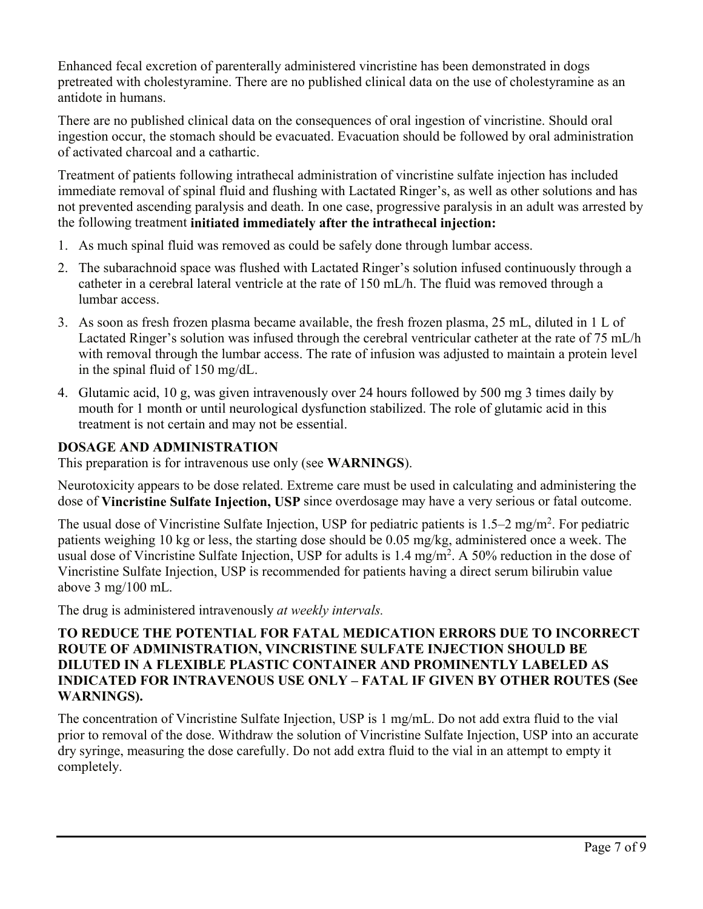Enhanced fecal excretion of parenterally administered vincristine has been demonstrated in dogs pretreated with cholestyramine. There are no published clinical data on the use of cholestyramine as an antidote in humans.

There are no published clinical data on the consequences of oral ingestion of vincristine. Should oral ingestion occur, the stomach should be evacuated. Evacuation should be followed by oral administration of activated charcoal and a cathartic.

Treatment of patients following intrathecal administration of vincristine sulfate injection has included immediate removal of spinal fluid and flushing with Lactated Ringer's, as well as other solutions and has not prevented ascending paralysis and death. In one case, progressive paralysis in an adult was arrested by the following treatment **initiated immediately after the intrathecal injection:**

- 1. As much spinal fluid was removed as could be safely done through lumbar access.
- 2. The subarachnoid space was flushed with Lactated Ringer's solution infused continuously through a catheter in a cerebral lateral ventricle at the rate of 150 mL/h. The fluid was removed through a lumbar access.
- 3. As soon as fresh frozen plasma became available, the fresh frozen plasma, 25 mL, diluted in 1 L of Lactated Ringer's solution was infused through the cerebral ventricular catheter at the rate of 75 mL/h with removal through the lumbar access. The rate of infusion was adjusted to maintain a protein level in the spinal fluid of 150 mg/dL.
- 4. Glutamic acid, 10 g, was given intravenously over 24 hours followed by 500 mg 3 times daily by mouth for 1 month or until neurological dysfunction stabilized. The role of glutamic acid in this treatment is not certain and may not be essential.

# **DOSAGE AND ADMINISTRATION**

This preparation is for intravenous use only (see **WARNINGS**).

Neurotoxicity appears to be dose related. Extreme care must be used in calculating and administering the dose of **Vincristine Sulfate Injection, USP** since overdosage may have a very serious or fatal outcome.

The usual dose of Vincristine Sulfate Injection, USP for pediatric patients is  $1.5-2$  mg/m<sup>2</sup>. For pediatric patients weighing 10 kg or less, the starting dose should be 0.05 mg/kg, administered once a week. The usual dose of Vincristine Sulfate Injection, USP for adults is  $1.4 \text{ mg/m}^2$ . A 50% reduction in the dose of Vincristine Sulfate Injection, USP is recommended for patients having a direct serum bilirubin value above 3 mg/100 mL.

The drug is administered intravenously *at weekly intervals.*

#### **TO REDUCE THE POTENTIAL FOR FATAL MEDICATION ERRORS DUE TO INCORRECT ROUTE OF ADMINISTRATION, VINCRISTINE SULFATE INJECTION SHOULD BE DILUTED IN A FLEXIBLE PLASTIC CONTAINER AND PROMINENTLY LABELED AS INDICATED FOR INTRAVENOUS USE ONLY – FATAL IF GIVEN BY OTHER ROUTES (See WARNINGS).**

The concentration of Vincristine Sulfate Injection, USP is 1 mg/mL. Do not add extra fluid to the vial prior to removal of the dose. Withdraw the solution of Vincristine Sulfate Injection, USP into an accurate dry syringe, measuring the dose carefully. Do not add extra fluid to the vial in an attempt to empty it completely.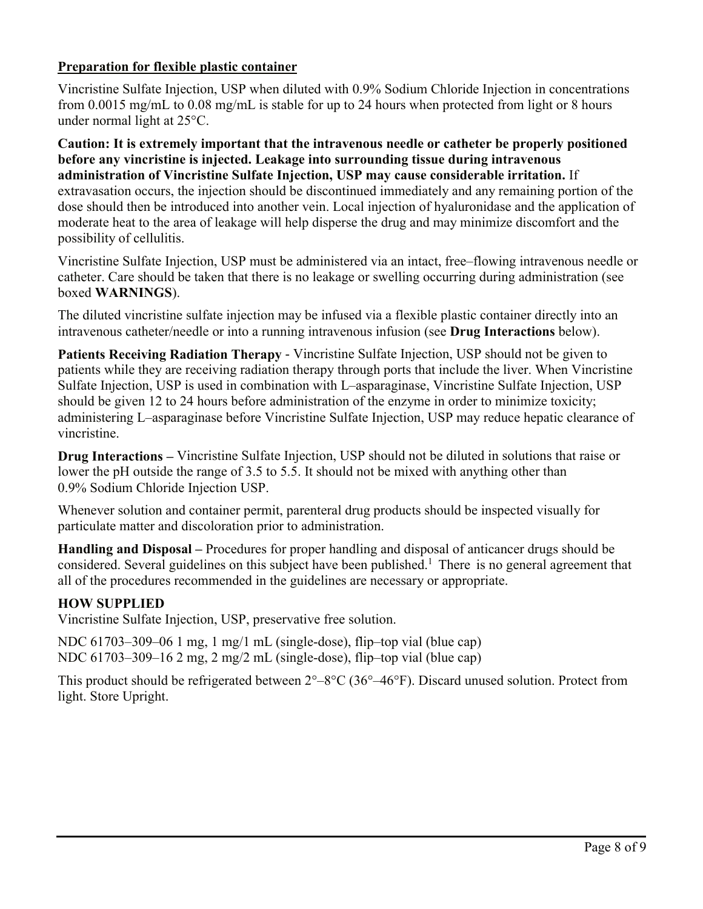### **Preparation for flexible plastic container**

Vincristine Sulfate Injection, USP when diluted with 0.9% Sodium Chloride Injection in concentrations from 0.0015 mg/mL to 0.08 mg/mL is stable for up to 24 hours when protected from light or 8 hours under normal light at 25°C.

**Caution: It is extremely important that the intravenous needle or catheter be properly positioned before any vincristine is injected. Leakage into surrounding tissue during intravenous administration of Vincristine Sulfate Injection, USP may cause considerable irritation.** If extravasation occurs, the injection should be discontinued immediately and any remaining portion of the dose should then be introduced into another vein. Local injection of hyaluronidase and the application of moderate heat to the area of leakage will help disperse the drug and may minimize discomfort and the possibility of cellulitis.

Vincristine Sulfate Injection, USP must be administered via an intact, free–flowing intravenous needle or catheter. Care should be taken that there is no leakage or swelling occurring during administration (see boxed **WARNINGS**).

The diluted vincristine sulfate injection may be infused via a flexible plastic container directly into an intravenous catheter/needle or into a running intravenous infusion (see **Drug Interactions** below).

**Patients Receiving Radiation Therapy** - Vincristine Sulfate Injection, USP should not be given to patients while they are receiving radiation therapy through ports that include the liver. When Vincristine Sulfate Injection, USP is used in combination with L–asparaginase, Vincristine Sulfate Injection, USP should be given 12 to 24 hours before administration of the enzyme in order to minimize toxicity; administering L–asparaginase before Vincristine Sulfate Injection, USP may reduce hepatic clearance of vincristine.

**Drug Interactions –** Vincristine Sulfate Injection, USP should not be diluted in solutions that raise or lower the pH outside the range of 3.5 to 5.5. It should not be mixed with anything other than 0.9% Sodium Chloride Injection USP.

Whenever solution and container permit, parenteral drug products should be inspected visually for particulate matter and discoloration prior to administration.

**Handling and Disposal –** Procedures for proper handling and disposal of anticancer drugs should be considered. Several guidelines on this subject have been published.<sup>1</sup> There is no general agreement that all of the procedures recommended in the guidelines are necessary or appropriate.

### **HOW SUPPLIED**

Vincristine Sulfate Injection, USP, preservative free solution.

NDC 61703–309–06 1 mg, 1 mg/1 mL (single-dose), flip–top vial (blue cap) NDC 61703–309–16 2 mg, 2 mg/2 mL (single-dose), flip–top vial (blue cap)

This product should be refrigerated between 2°–8°C (36°–46°F). Discard unused solution. Protect from light. Store Upright.